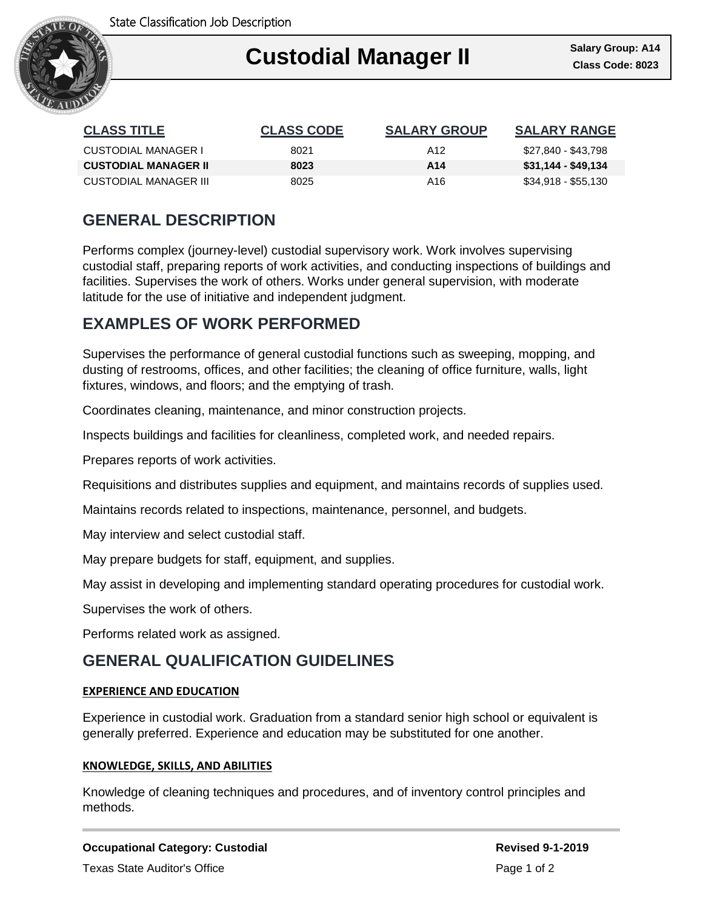

### Ι **Custodial Manager II Class Code: 8023**

| <b>CLASS TITLE</b>           | <b>CLASS CODE</b> | <b>SALARY GROUP</b> | <b>SALARY RANGE</b> |
|------------------------------|-------------------|---------------------|---------------------|
| CUSTODIAL MANAGER I          | 8021              | A12                 | \$27,840 - \$43,798 |
| <b>CUSTODIAL MANAGER II</b>  | 8023              | A14                 | \$31,144 - \$49,134 |
| <b>CUSTODIAL MANAGER III</b> | 8025              | A16.                | \$34,918 - \$55,130 |

# **GENERAL DESCRIPTION**

Performs complex (journey-level) custodial supervisory work. Work involves supervising custodial staff, preparing reports of work activities, and conducting inspections of buildings and facilities. Supervises the work of others. Works under general supervision, with moderate latitude for the use of initiative and independent judgment.

## **EXAMPLES OF WORK PERFORMED**

Supervises the performance of general custodial functions such as sweeping, mopping, and dusting of restrooms, offices, and other facilities; the cleaning of office furniture, walls, light fixtures, windows, and floors; and the emptying of trash.

Coordinates cleaning, maintenance, and minor construction projects.

Inspects buildings and facilities for cleanliness, completed work, and needed repairs.

Prepares reports of work activities.

Requisitions and distributes supplies and equipment, and maintains records of supplies used.

Maintains records related to inspections, maintenance, personnel, and budgets.

May interview and select custodial staff.

May prepare budgets for staff, equipment, and supplies.

May assist in developing and implementing standard operating procedures for custodial work.

Supervises the work of others.

Performs related work as assigned.

### **GENERAL QUALIFICATION GUIDELINES**

#### **EXPERIENCE AND EDUCATION**

Experience in custodial work. Graduation from a standard senior high school or equivalent is generally preferred. Experience and education may be substituted for one another.

#### **KNOWLEDGE, SKILLS, AND ABILITIES**

Knowledge of cleaning techniques and procedures, and of inventory control principles and methods.

**Occupational Category: Custodial Revised 9-1-2019** Texas State Auditor's Office **Page 1 of 2** and 2